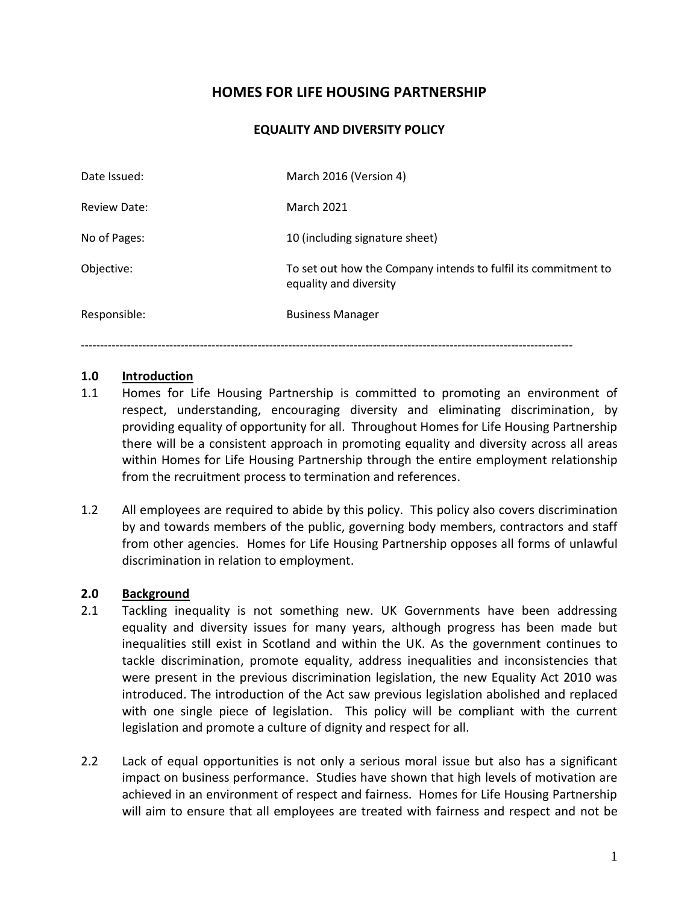# **HOMES FOR LIFE HOUSING PARTNERSHIP**

#### **EQUALITY AND DIVERSITY POLICY**

| March 2016 (Version 4)                                                                                 |  |
|--------------------------------------------------------------------------------------------------------|--|
| <b>March 2021</b><br><b>Review Date:</b>                                                               |  |
| No of Pages:<br>10 (including signature sheet)                                                         |  |
| To set out how the Company intends to fulfil its commitment to<br>Objective:<br>equality and diversity |  |
| Responsible:<br><b>Business Manager</b>                                                                |  |

--------------------------------------------------------------------------------------------------------------------------------

#### **1.0 Introduction**

- 1.1 Homes for Life Housing Partnership is committed to promoting an environment of respect, understanding, encouraging diversity and eliminating discrimination, by providing equality of opportunity for all. Throughout Homes for Life Housing Partnership there will be a consistent approach in promoting equality and diversity across all areas within Homes for Life Housing Partnership through the entire employment relationship from the recruitment process to termination and references.
- 1.2 All employees are required to abide by this policy. This policy also covers discrimination by and towards members of the public, governing body members, contractors and staff from other agencies. Homes for Life Housing Partnership opposes all forms of unlawful discrimination in relation to employment.

#### **2.0 Background**

- 2.1 Tackling inequality is not something new. UK Governments have been addressing equality and diversity issues for many years, although progress has been made but inequalities still exist in Scotland and within the UK. As the government continues to tackle discrimination, promote equality, address inequalities and inconsistencies that were present in the previous discrimination legislation, the new Equality Act 2010 was introduced. The introduction of the Act saw previous legislation abolished and replaced with one single piece of legislation. This policy will be compliant with the current legislation and promote a culture of dignity and respect for all.
- 2.2 Lack of equal opportunities is not only a serious moral issue but also has a significant impact on business performance. Studies have shown that high levels of motivation are achieved in an environment of respect and fairness. Homes for Life Housing Partnership will aim to ensure that all employees are treated with fairness and respect and not be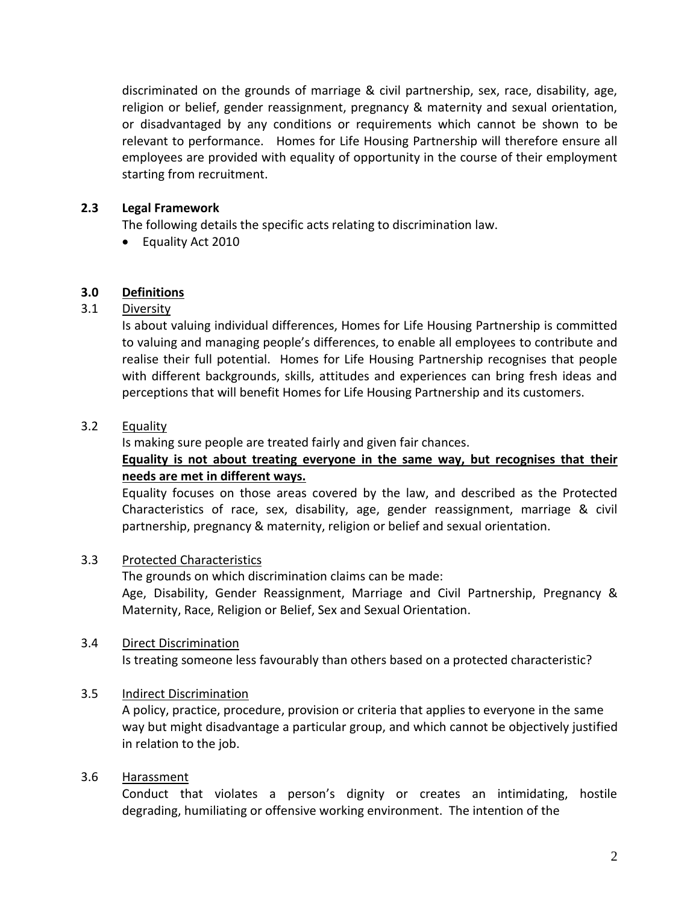discriminated on the grounds of marriage & civil partnership, sex, race, disability, age, religion or belief, gender reassignment, pregnancy & maternity and sexual orientation, or disadvantaged by any conditions or requirements which cannot be shown to be relevant to performance. Homes for Life Housing Partnership will therefore ensure all employees are provided with equality of opportunity in the course of their employment starting from recruitment.

# **2.3 Legal Framework**

The following details the specific acts relating to discrimination law.

• Equality Act 2010

# **3.0 Definitions**

# 3.1 Diversity

Is about valuing individual differences, Homes for Life Housing Partnership is committed to valuing and managing people's differences, to enable all employees to contribute and realise their full potential. Homes for Life Housing Partnership recognises that people with different backgrounds, skills, attitudes and experiences can bring fresh ideas and perceptions that will benefit Homes for Life Housing Partnership and its customers.

# 3.2 Equality

Is making sure people are treated fairly and given fair chances.

# **Equality is not about treating everyone in the same way, but recognises that their needs are met in different ways.**

Equality focuses on those areas covered by the law, and described as the Protected Characteristics of race, sex, disability, age, gender reassignment, marriage & civil partnership, pregnancy & maternity, religion or belief and sexual orientation.

# 3.3 Protected Characteristics

The grounds on which discrimination claims can be made: Age, Disability, Gender Reassignment, Marriage and Civil Partnership, Pregnancy & Maternity, Race, Religion or Belief, Sex and Sexual Orientation.

# 3.4 Direct Discrimination

Is treating someone less favourably than others based on a protected characteristic?

# 3.5 Indirect Discrimination

A policy, practice, procedure, provision or criteria that applies to everyone in the same way but might disadvantage a particular group, and which cannot be objectively justified in relation to the job.

# 3.6 Harassment

Conduct that violates a person's dignity or creates an intimidating, hostile degrading, humiliating or offensive working environment. The intention of the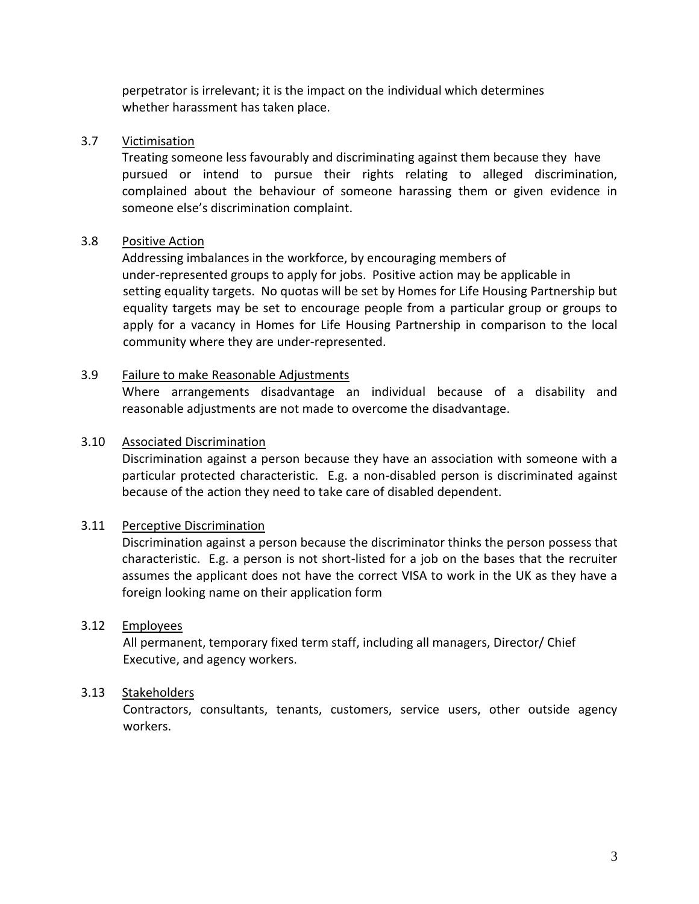perpetrator is irrelevant; it is the impact on the individual which determines whether harassment has taken place.

#### 3.7 Victimisation

Treating someone less favourably and discriminating against them because they have pursued or intend to pursue their rights relating to alleged discrimination, complained about the behaviour of someone harassing them or given evidence in someone else's discrimination complaint.

# 3.8 Positive Action

Addressing imbalances in the workforce, by encouraging members of under-represented groups to apply for jobs. Positive action may be applicable in setting equality targets. No quotas will be set by Homes for Life Housing Partnership but equality targets may be set to encourage people from a particular group or groups to apply for a vacancy in Homes for Life Housing Partnership in comparison to the local community where they are under-represented.

#### 3.9 Failure to make Reasonable Adjustments

Where arrangements disadvantage an individual because of a disability and reasonable adjustments are not made to overcome the disadvantage.

#### 3.10 Associated Discrimination

Discrimination against a person because they have an association with someone with a particular protected characteristic. E.g. a non-disabled person is discriminated against because of the action they need to take care of disabled dependent.

#### 3.11 Perceptive Discrimination

Discrimination against a person because the discriminator thinks the person possess that characteristic. E.g. a person is not short-listed for a job on the bases that the recruiter assumes the applicant does not have the correct VISA to work in the UK as they have a foreign looking name on their application form

#### 3.12 Employees

All permanent, temporary fixed term staff, including all managers, Director/ Chief Executive, and agency workers.

#### 3.13 Stakeholders

Contractors, consultants, tenants, customers, service users, other outside agency workers.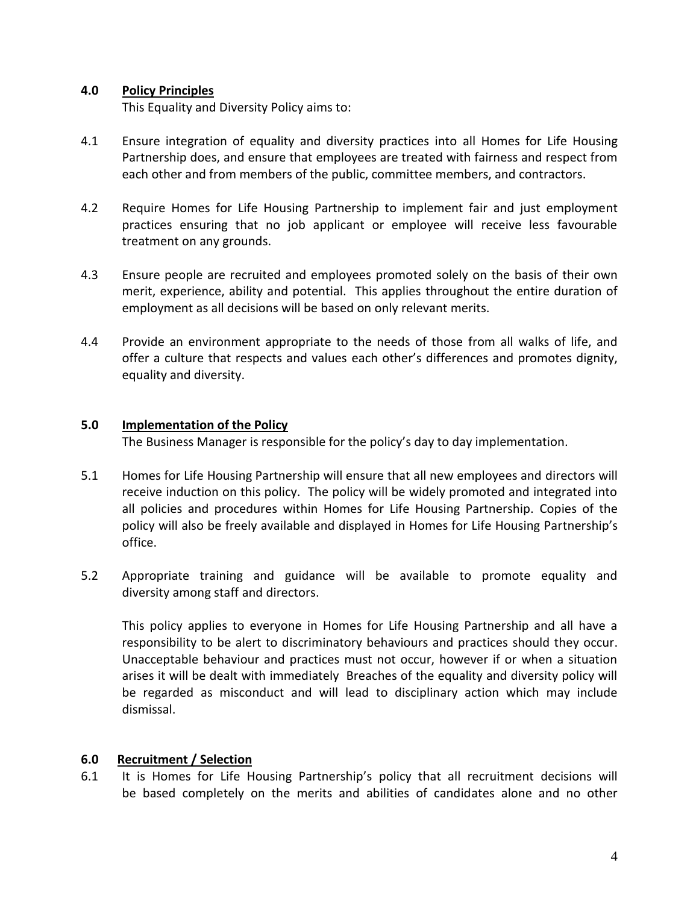#### **4.0 Policy Principles**

This Equality and Diversity Policy aims to:

- 4.1 Ensure integration of equality and diversity practices into all Homes for Life Housing Partnership does, and ensure that employees are treated with fairness and respect from each other and from members of the public, committee members, and contractors.
- 4.2 Require Homes for Life Housing Partnership to implement fair and just employment practices ensuring that no job applicant or employee will receive less favourable treatment on any grounds.
- 4.3 Ensure people are recruited and employees promoted solely on the basis of their own merit, experience, ability and potential. This applies throughout the entire duration of employment as all decisions will be based on only relevant merits.
- 4.4 Provide an environment appropriate to the needs of those from all walks of life, and offer a culture that respects and values each other's differences and promotes dignity, equality and diversity.

#### **5.0 Implementation of the Policy**

The Business Manager is responsible for the policy's day to day implementation.

- 5.1 Homes for Life Housing Partnership will ensure that all new employees and directors will receive induction on this policy. The policy will be widely promoted and integrated into all policies and procedures within Homes for Life Housing Partnership. Copies of the policy will also be freely available and displayed in Homes for Life Housing Partnership's office.
- 5.2 Appropriate training and guidance will be available to promote equality and diversity among staff and directors.

This policy applies to everyone in Homes for Life Housing Partnership and all have a responsibility to be alert to discriminatory behaviours and practices should they occur. Unacceptable behaviour and practices must not occur, however if or when a situation arises it will be dealt with immediately Breaches of the equality and diversity policy will be regarded as misconduct and will lead to disciplinary action which may include dismissal.

# **6.0 Recruitment / Selection**

6.1 It is Homes for Life Housing Partnership's policy that all recruitment decisions will be based completely on the merits and abilities of candidates alone and no other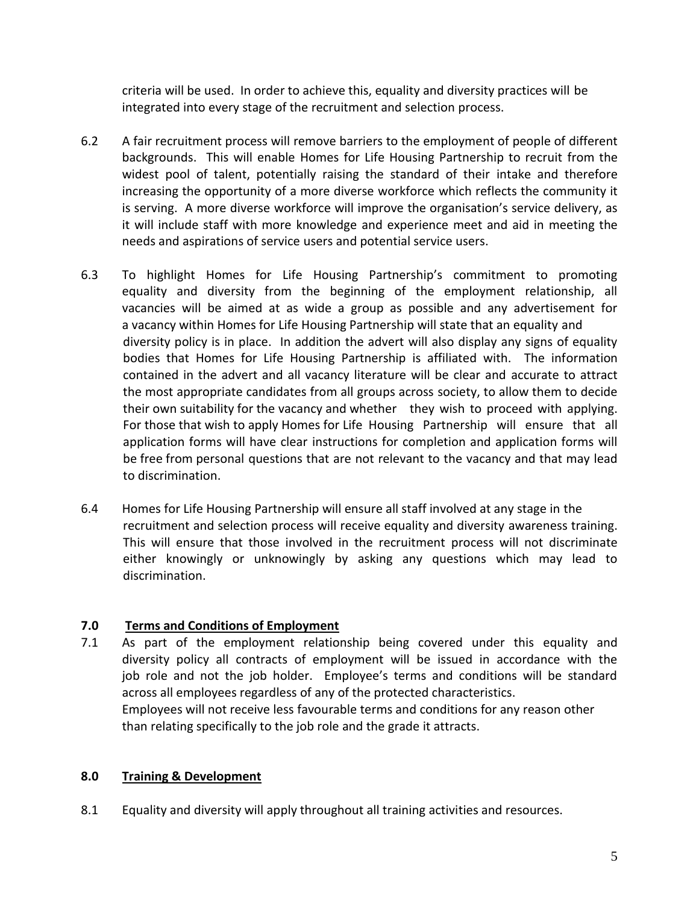criteria will be used. In order to achieve this, equality and diversity practices will be integrated into every stage of the recruitment and selection process.

- 6.2 A fair recruitment process will remove barriers to the employment of people of different backgrounds. This will enable Homes for Life Housing Partnership to recruit from the widest pool of talent, potentially raising the standard of their intake and therefore increasing the opportunity of a more diverse workforce which reflects the community it is serving. A more diverse workforce will improve the organisation's service delivery, as it will include staff with more knowledge and experience meet and aid in meeting the needs and aspirations of service users and potential service users.
- 6.3 To highlight Homes for Life Housing Partnership's commitment to promoting equality and diversity from the beginning of the employment relationship, all vacancies will be aimed at as wide a group as possible and any advertisement for a vacancy within Homes for Life Housing Partnership will state that an equality and diversity policy is in place. In addition the advert will also display any signs of equality bodies that Homes for Life Housing Partnership is affiliated with. The information contained in the advert and all vacancy literature will be clear and accurate to attract the most appropriate candidates from all groups across society, to allow them to decide their own suitability for the vacancy and whether they wish to proceed with applying. For those that wish to apply Homes for Life Housing Partnership will ensure that all application forms will have clear instructions for completion and application forms will be free from personal questions that are not relevant to the vacancy and that may lead to discrimination.
- 6.4 Homes for Life Housing Partnership will ensure all staff involved at any stage in the recruitment and selection process will receive equality and diversity awareness training. This will ensure that those involved in the recruitment process will not discriminate either knowingly or unknowingly by asking any questions which may lead to discrimination.

# **7.0 Terms and Conditions of Employment**

7.1 As part of the employment relationship being covered under this equality and diversity policy all contracts of employment will be issued in accordance with the job role and not the job holder. Employee's terms and conditions will be standard across all employees regardless of any of the protected characteristics. Employees will not receive less favourable terms and conditions for any reason other than relating specifically to the job role and the grade it attracts.

# **8.0 Training & Development**

8.1 Equality and diversity will apply throughout all training activities and resources.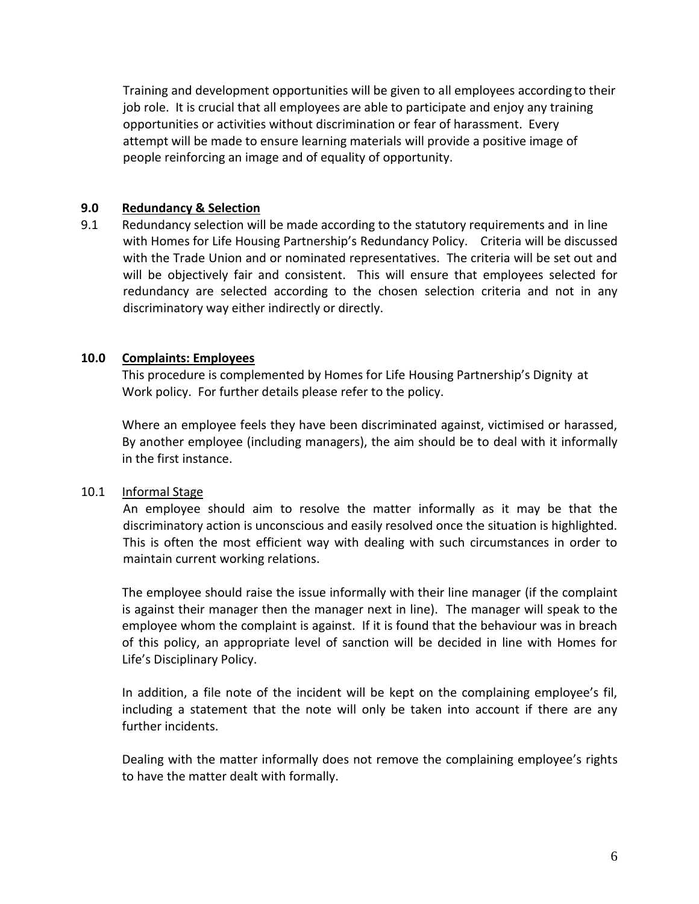Training and development opportunities will be given to all employees according to their job role. It is crucial that all employees are able to participate and enjoy any training opportunities or activities without discrimination or fear of harassment. Every attempt will be made to ensure learning materials will provide a positive image of people reinforcing an image and of equality of opportunity.

#### **9.0 Redundancy & Selection**

9.1 Redundancy selection will be made according to the statutory requirements and in line with Homes for Life Housing Partnership's Redundancy Policy. Criteria will be discussed with the Trade Union and or nominated representatives. The criteria will be set out and will be objectively fair and consistent. This will ensure that employees selected for redundancy are selected according to the chosen selection criteria and not in any discriminatory way either indirectly or directly.

# **10.0 Complaints: Employees**

This procedure is complemented by Homes for Life Housing Partnership's Dignity at Work policy. For further details please refer to the policy.

Where an employee feels they have been discriminated against, victimised or harassed, By another employee (including managers), the aim should be to deal with it informally in the first instance.

# 10.1 Informal Stage

An employee should aim to resolve the matter informally as it may be that the discriminatory action is unconscious and easily resolved once the situation is highlighted. This is often the most efficient way with dealing with such circumstances in order to maintain current working relations.

The employee should raise the issue informally with their line manager (if the complaint is against their manager then the manager next in line). The manager will speak to the employee whom the complaint is against. If it is found that the behaviour was in breach of this policy, an appropriate level of sanction will be decided in line with Homes for Life's Disciplinary Policy.

In addition, a file note of the incident will be kept on the complaining employee's fil, including a statement that the note will only be taken into account if there are any further incidents.

Dealing with the matter informally does not remove the complaining employee's rights to have the matter dealt with formally.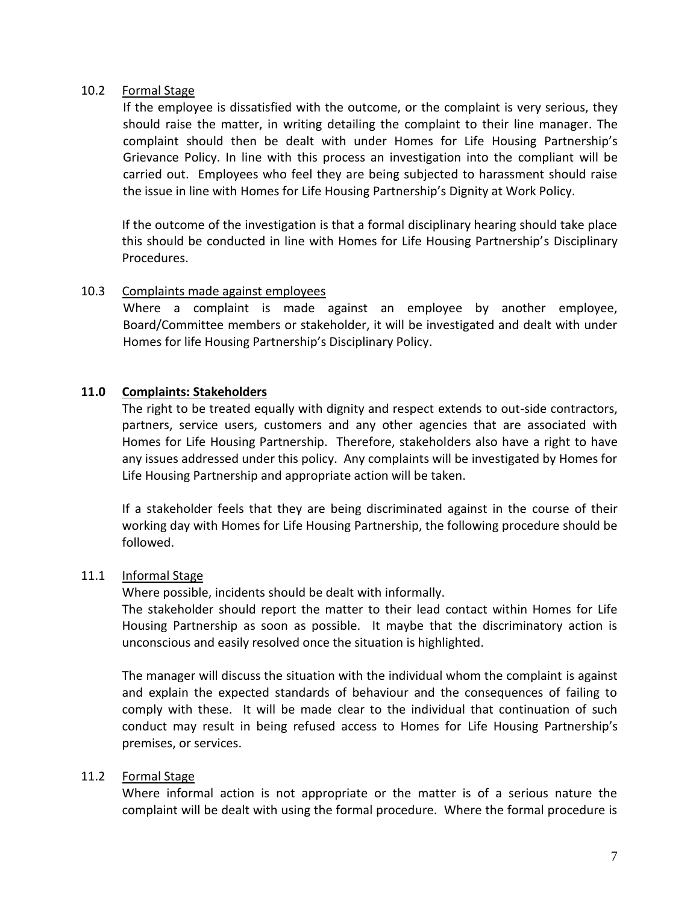#### 10.2 Formal Stage

If the employee is dissatisfied with the outcome, or the complaint is very serious, they should raise the matter, in writing detailing the complaint to their line manager. The complaint should then be dealt with under Homes for Life Housing Partnership's Grievance Policy. In line with this process an investigation into the compliant will be carried out. Employees who feel they are being subjected to harassment should raise the issue in line with Homes for Life Housing Partnership's Dignity at Work Policy.

If the outcome of the investigation is that a formal disciplinary hearing should take place this should be conducted in line with Homes for Life Housing Partnership's Disciplinary Procedures.

#### 10.3 Complaints made against employees

Where a complaint is made against an employee by another employee, Board/Committee members or stakeholder, it will be investigated and dealt with under Homes for life Housing Partnership's Disciplinary Policy.

#### **11.0 Complaints: Stakeholders**

The right to be treated equally with dignity and respect extends to out-side contractors, partners, service users, customers and any other agencies that are associated with Homes for Life Housing Partnership. Therefore, stakeholders also have a right to have any issues addressed under this policy. Any complaints will be investigated by Homes for Life Housing Partnership and appropriate action will be taken.

If a stakeholder feels that they are being discriminated against in the course of their working day with Homes for Life Housing Partnership, the following procedure should be followed.

#### 11.1 Informal Stage

Where possible, incidents should be dealt with informally.

The stakeholder should report the matter to their lead contact within Homes for Life Housing Partnership as soon as possible. It maybe that the discriminatory action is unconscious and easily resolved once the situation is highlighted.

The manager will discuss the situation with the individual whom the complaint is against and explain the expected standards of behaviour and the consequences of failing to comply with these. It will be made clear to the individual that continuation of such conduct may result in being refused access to Homes for Life Housing Partnership's premises, or services.

#### 11.2 Formal Stage

Where informal action is not appropriate or the matter is of a serious nature the complaint will be dealt with using the formal procedure. Where the formal procedure is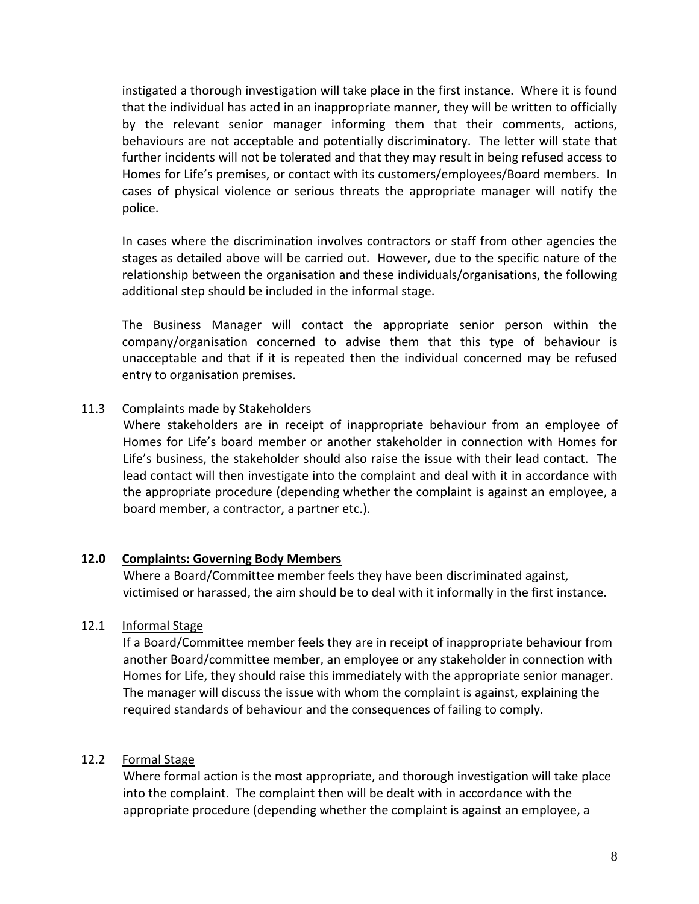instigated a thorough investigation will take place in the first instance. Where it is found that the individual has acted in an inappropriate manner, they will be written to officially by the relevant senior manager informing them that their comments, actions, behaviours are not acceptable and potentially discriminatory. The letter will state that further incidents will not be tolerated and that they may result in being refused access to Homes for Life's premises, or contact with its customers/employees/Board members. In cases of physical violence or serious threats the appropriate manager will notify the police.

In cases where the discrimination involves contractors or staff from other agencies the stages as detailed above will be carried out. However, due to the specific nature of the relationship between the organisation and these individuals/organisations, the following additional step should be included in the informal stage.

The Business Manager will contact the appropriate senior person within the company/organisation concerned to advise them that this type of behaviour is unacceptable and that if it is repeated then the individual concerned may be refused entry to organisation premises.

# 11.3 Complaints made by Stakeholders

Where stakeholders are in receipt of inappropriate behaviour from an employee of Homes for Life's board member or another stakeholder in connection with Homes for Life's business, the stakeholder should also raise the issue with their lead contact. The lead contact will then investigate into the complaint and deal with it in accordance with the appropriate procedure (depending whether the complaint is against an employee, a board member, a contractor, a partner etc.).

#### **12.0 Complaints: Governing Body Members**

Where a Board/Committee member feels they have been discriminated against, victimised or harassed, the aim should be to deal with it informally in the first instance.

#### 12.1 Informal Stage

If a Board/Committee member feels they are in receipt of inappropriate behaviour from another Board/committee member, an employee or any stakeholder in connection with Homes for Life, they should raise this immediately with the appropriate senior manager. The manager will discuss the issue with whom the complaint is against, explaining the required standards of behaviour and the consequences of failing to comply.

# 12.2 Formal Stage

Where formal action is the most appropriate, and thorough investigation will take place into the complaint. The complaint then will be dealt with in accordance with the appropriate procedure (depending whether the complaint is against an employee, a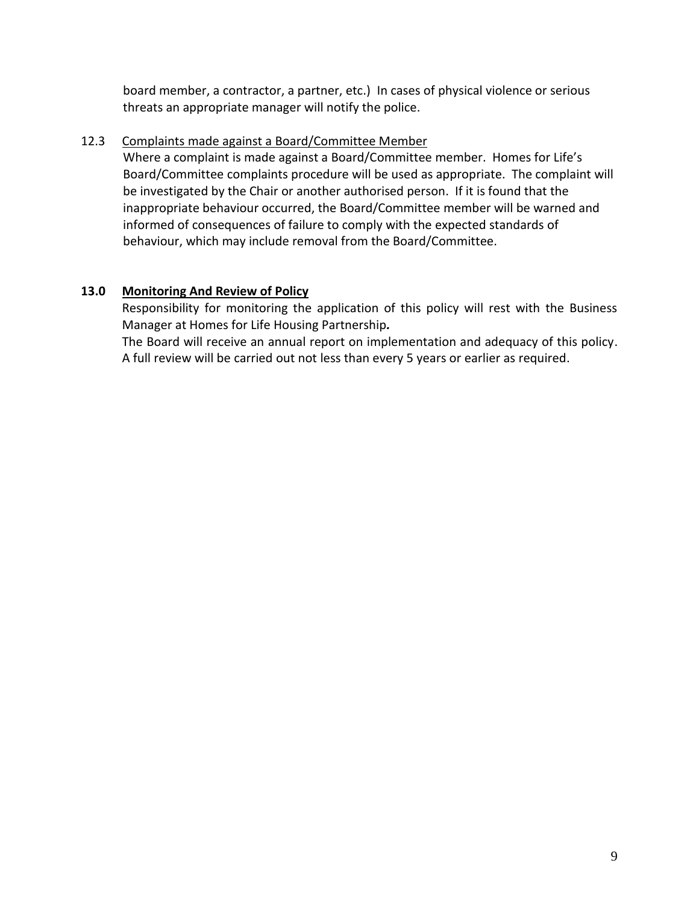board member, a contractor, a partner, etc.) In cases of physical violence or serious threats an appropriate manager will notify the police.

# 12.3 Complaints made against a Board/Committee Member

Where a complaint is made against a Board/Committee member. Homes for Life's Board/Committee complaints procedure will be used as appropriate. The complaint will be investigated by the Chair or another authorised person. If it is found that the inappropriate behaviour occurred, the Board/Committee member will be warned and informed of consequences of failure to comply with the expected standards of behaviour, which may include removal from the Board/Committee.

# **13.0 Monitoring And Review of Policy**

Responsibility for monitoring the application of this policy will rest with the Business Manager at Homes for Life Housing Partnership*.*

The Board will receive an annual report on implementation and adequacy of this policy. A full review will be carried out not less than every 5 years or earlier as required.